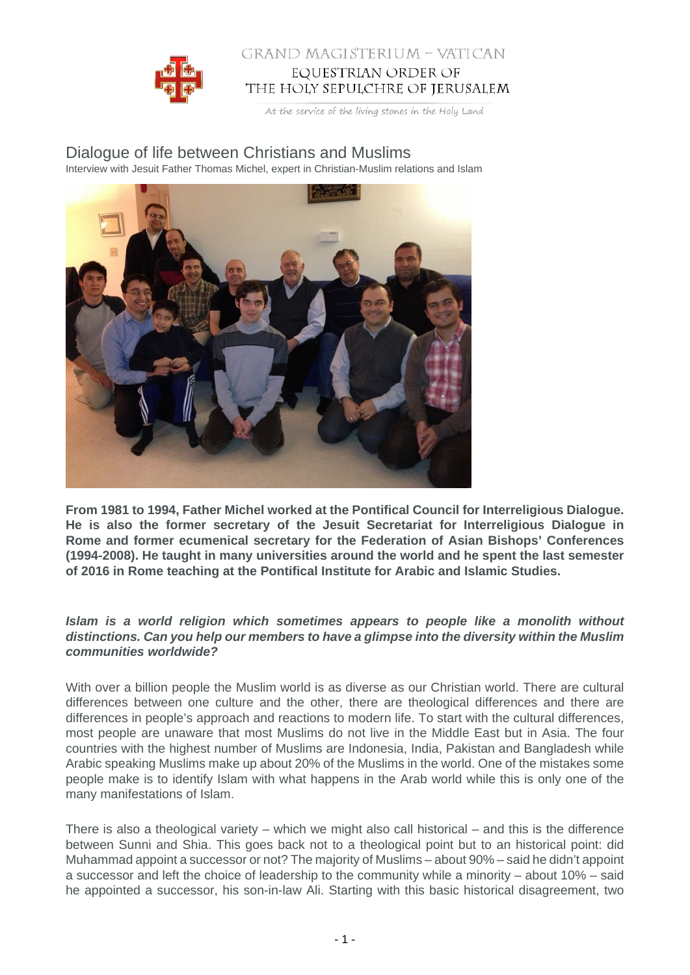

### GRAND MAGISTERIUM - VATICAN EQUESTRIAN ORDER OF THE HOLY SEPULCHRE OF JERUSALEM

At the service of the living stones in the Holy Land

## Dialogue of life between Christians and Muslims

Interview with Jesuit Father Thomas Michel, expert in Christian-Muslim relations and Islam



**From 1981 to 1994, Father Michel worked at the Pontifical Council for Interreligious Dialogue. He is also the former secretary of the Jesuit Secretariat for Interreligious Dialogue in Rome and former ecumenical secretary for the Federation of Asian Bishops' Conferences (1994-2008). He taught in many universities around the world and he spent the last semester of 2016 in Rome teaching at the Pontifical Institute for Arabic and Islamic Studies.**

#### **Islam is a world religion which sometimes appears to people like a monolith without distinctions. Can you help our members to have a glimpse into the diversity within the Muslim communities worldwide?**

With over a billion people the Muslim world is as diverse as our Christian world. There are cultural differences between one culture and the other, there are theological differences and there are differences in people's approach and reactions to modern life. To start with the cultural differences, most people are unaware that most Muslims do not live in the Middle East but in Asia. The four countries with the highest number of Muslims are Indonesia, India, Pakistan and Bangladesh while Arabic speaking Muslims make up about 20% of the Muslims in the world. One of the mistakes some people make is to identify Islam with what happens in the Arab world while this is only one of the many manifestations of Islam.

There is also a theological variety – which we might also call historical – and this is the difference between Sunni and Shia. This goes back not to a theological point but to an historical point: did Muhammad appoint a successor or not? The majority of Muslims – about 90% – said he didn't appoint a successor and left the choice of leadership to the community while a minority – about 10% – said he appointed a successor, his son-in-law Ali. Starting with this basic historical disagreement, two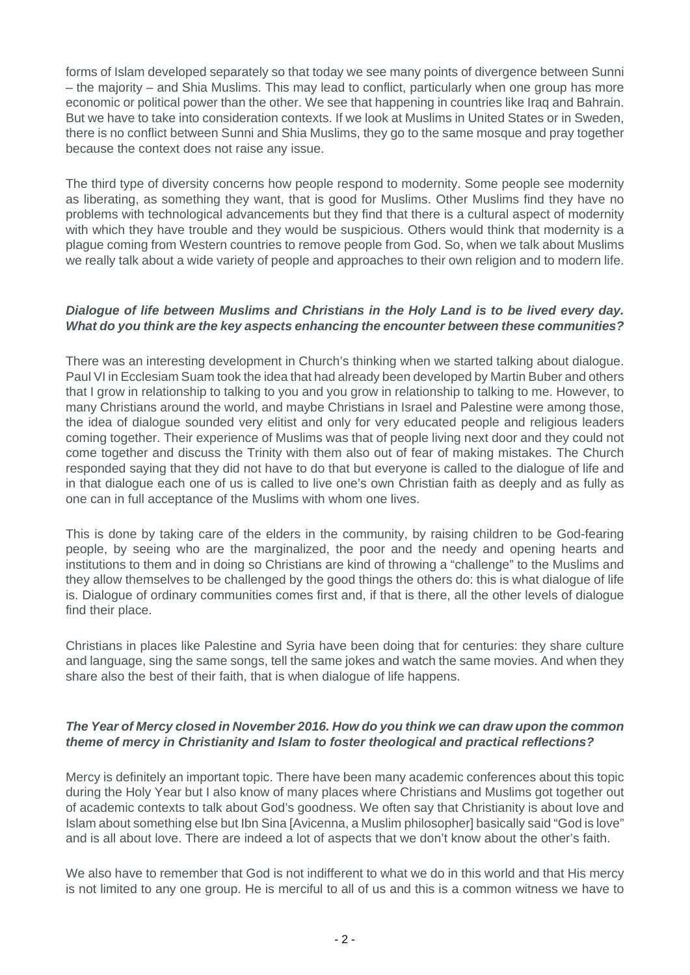forms of Islam developed separately so that today we see many points of divergence between Sunni – the majority – and Shia Muslims. This may lead to conflict, particularly when one group has more economic or political power than the other. We see that happening in countries like Iraq and Bahrain. But we have to take into consideration contexts. If we look at Muslims in United States or in Sweden, there is no conflict between Sunni and Shia Muslims, they go to the same mosque and pray together because the context does not raise any issue.

The third type of diversity concerns how people respond to modernity. Some people see modernity as liberating, as something they want, that is good for Muslims. Other Muslims find they have no problems with technological advancements but they find that there is a cultural aspect of modernity with which they have trouble and they would be suspicious. Others would think that modernity is a plague coming from Western countries to remove people from God. So, when we talk about Muslims we really talk about a wide variety of people and approaches to their own religion and to modern life.

#### **Dialogue of life between Muslims and Christians in the Holy Land is to be lived every day. What do you think are the key aspects enhancing the encounter between these communities?**

There was an interesting development in Church's thinking when we started talking about dialogue. Paul VI in Ecclesiam Suam took the idea that had already been developed by Martin Buber and others that I grow in relationship to talking to you and you grow in relationship to talking to me. However, to many Christians around the world, and maybe Christians in Israel and Palestine were among those, the idea of dialogue sounded very elitist and only for very educated people and religious leaders coming together. Their experience of Muslims was that of people living next door and they could not come together and discuss the Trinity with them also out of fear of making mistakes. The Church responded saying that they did not have to do that but everyone is called to the dialogue of life and in that dialogue each one of us is called to live one's own Christian faith as deeply and as fully as one can in full acceptance of the Muslims with whom one lives.

This is done by taking care of the elders in the community, by raising children to be God-fearing people, by seeing who are the marginalized, the poor and the needy and opening hearts and institutions to them and in doing so Christians are kind of throwing a "challenge" to the Muslims and they allow themselves to be challenged by the good things the others do: this is what dialogue of life is. Dialogue of ordinary communities comes first and, if that is there, all the other levels of dialogue find their place.

Christians in places like Palestine and Syria have been doing that for centuries: they share culture and language, sing the same songs, tell the same jokes and watch the same movies. And when they share also the best of their faith, that is when dialogue of life happens.

#### **The Year of Mercy closed in November 2016. How do you think we can draw upon the common theme of mercy in Christianity and Islam to foster theological and practical reflections?**

Mercy is definitely an important topic. There have been many academic conferences about this topic during the Holy Year but I also know of many places where Christians and Muslims got together out of academic contexts to talk about God's goodness. We often say that Christianity is about love and Islam about something else but Ibn Sina [Avicenna, a Muslim philosopher] basically said "God is love" and is all about love. There are indeed a lot of aspects that we don't know about the other's faith.

We also have to remember that God is not indifferent to what we do in this world and that His mercy is not limited to any one group. He is merciful to all of us and this is a common witness we have to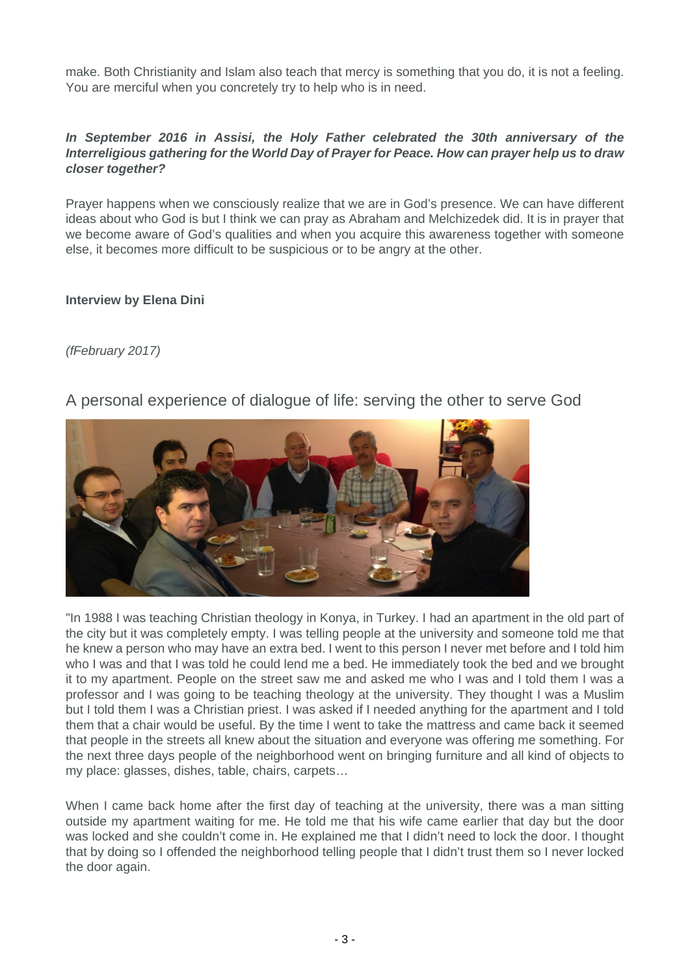make. Both Christianity and Islam also teach that mercy is something that you do, it is not a feeling. You are merciful when you concretely try to help who is in need.

#### **In September 2016 in Assisi, the Holy Father celebrated the 30th anniversary of the Interreligious gathering for the World Day of Prayer for Peace. How can prayer help us to draw closer together?**

Prayer happens when we consciously realize that we are in God's presence. We can have different ideas about who God is but I think we can pray as Abraham and Melchizedek did. It is in prayer that we become aware of God's qualities and when you acquire this awareness together with someone else, it becomes more difficult to be suspicious or to be angry at the other.

#### **Interview by Elena Dini**

## (fFebruary 2017)

# A personal experience of dialogue of life: serving the other to serve God



"In 1988 I was teaching Christian theology in Konya, in Turkey. I had an apartment in the old part of the city but it was completely empty. I was telling people at the university and someone told me that he knew a person who may have an extra bed. I went to this person I never met before and I told him who I was and that I was told he could lend me a bed. He immediately took the bed and we brought it to my apartment. People on the street saw me and asked me who I was and I told them I was a professor and I was going to be teaching theology at the university. They thought I was a Muslim but I told them I was a Christian priest. I was asked if I needed anything for the apartment and I told them that a chair would be useful. By the time I went to take the mattress and came back it seemed that people in the streets all knew about the situation and everyone was offering me something. For the next three days people of the neighborhood went on bringing furniture and all kind of objects to my place: glasses, dishes, table, chairs, carpets…

When I came back home after the first day of teaching at the university, there was a man sitting outside my apartment waiting for me. He told me that his wife came earlier that day but the door was locked and she couldn't come in. He explained me that I didn't need to lock the door. I thought that by doing so I offended the neighborhood telling people that I didn't trust them so I never locked the door again.